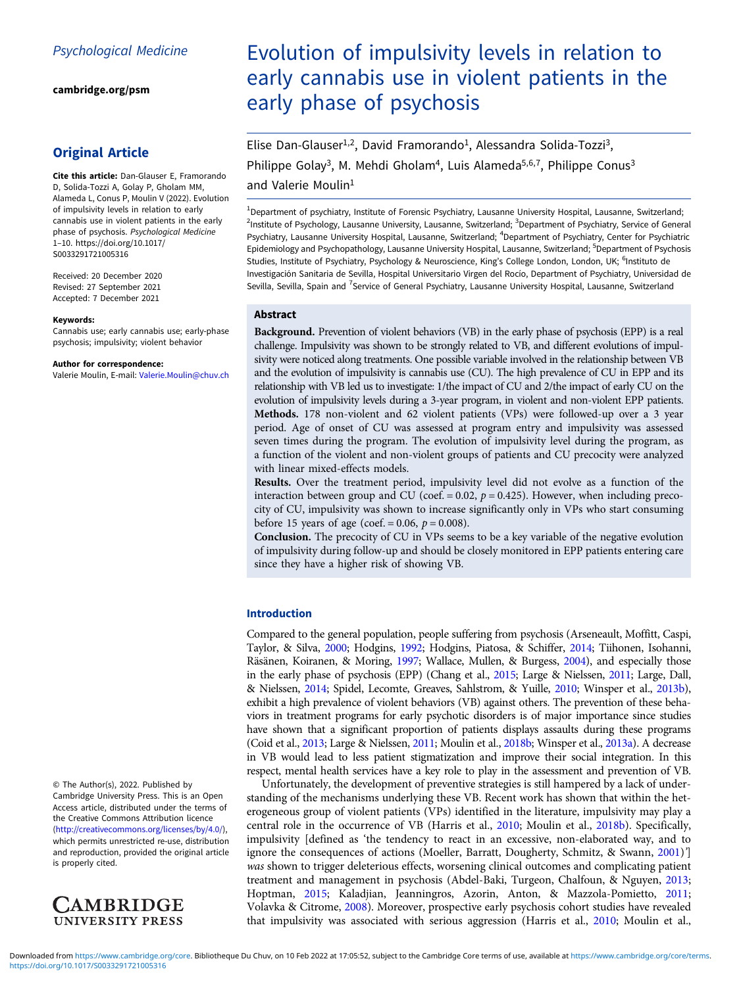[cambridge.org/psm](https://www.cambridge.org/psm)

## Original Article

Cite this article: Dan-Glauser E, Framorando D, Solida-Tozzi A, Golay P, Gholam MM, Alameda L, Conus P, Moulin V (2022). Evolution of impulsivity levels in relation to early cannabis use in violent patients in the early phase of psychosis. Psychological Medicine 1–10. [https://doi.org/10.1017/](https://doi.org/10.1017/S0033291721005316) [S0033291721005316](https://doi.org/10.1017/S0033291721005316)

Received: 20 December 2020 Revised: 27 September 2021 Accepted: 7 December 2021

#### Keywords:

Cannabis use; early cannabis use; early-phase psychosis; impulsivity; violent behavior

#### Author for correspondence:

Valerie Moulin, E-mail: [Valerie.Moulin@chuv.ch](mailto:Valerie.Moulin@chuv.ch)

© The Author(s), 2022. Published by Cambridge University Press. This is an Open Access article, distributed under the terms of the Creative Commons Attribution licence ([http://creativecommons.org/licenses/by/4.0/\)](http://creativecommons.org/licenses/by/4.0/), which permits unrestricted re-use, distribution and reproduction, provided the original article is properly cited.



# Evolution of impulsivity levels in relation to early cannabis use in violent patients in the early phase of psychosis

Elise Dan-Glauser<sup>1,2</sup>, David Framorando<sup>1</sup>, Alessandra Solida-Tozzi<sup>3</sup>, Philippe Golay<sup>3</sup>, M. Mehdi Gholam<sup>4</sup>, Luis Alameda<sup>5,6,7</sup>, Philippe Conus<sup>3</sup>

and Valerie Moulin<sup>1</sup>

<sup>1</sup>Department of psychiatry, Institute of Forensic Psychiatry, Lausanne University Hospital, Lausanne, Switzerland; <sup>2</sup>Institute of Psychology, Lausanne University, Lausanne, Switzerland; <sup>3</sup>Department of Psychiatry, Service of General Psychiatry, Lausanne University Hospital, Lausanne, Switzerland; <sup>4</sup>Department of Psychiatry, Center for Psychiatric Epidemiology and Psychopathology, Lausanne University Hospital, Lausanne, Switzerland; <sup>5</sup>Department of Psychosis Studies, Institute of Psychiatry, Psychology & Neuroscience, King's College London, London, UK; <sup>6</sup>Instituto de Investigación Sanitaria de Sevilla, Hospital Universitario Virgen del Rocío, Department of Psychiatry, Universidad de Sevilla, Sevilla, Spain and <sup>7</sup>Service of General Psychiatry, Lausanne University Hospital, Lausanne, Switzerland

#### Abstract

Background. Prevention of violent behaviors (VB) in the early phase of psychosis (EPP) is a real challenge. Impulsivity was shown to be strongly related to VB, and different evolutions of impulsivity were noticed along treatments. One possible variable involved in the relationship between VB and the evolution of impulsivity is cannabis use (CU). The high prevalence of CU in EPP and its relationship with VB led us to investigate: 1/the impact of CU and 2/the impact of early CU on the evolution of impulsivity levels during a 3-year program, in violent and non-violent EPP patients. Methods. 178 non-violent and 62 violent patients (VPs) were followed-up over a 3 year period. Age of onset of CU was assessed at program entry and impulsivity was assessed seven times during the program. The evolution of impulsivity level during the program, as a function of the violent and non-violent groups of patients and CU precocity were analyzed with linear mixed-effects models.

Results. Over the treatment period, impulsivity level did not evolve as a function of the interaction between group and CU (coef. =  $0.02$ ,  $p = 0.425$ ). However, when including precocity of CU, impulsivity was shown to increase significantly only in VPs who start consuming before 15 years of age (coef. = 0.06,  $p = 0.008$ ).

Conclusion. The precocity of CU in VPs seems to be a key variable of the negative evolution of impulsivity during follow-up and should be closely monitored in EPP patients entering care since they have a higher risk of showing VB.

## Introduction

Compared to the general population, people suffering from psychosis (Arseneault, Moffitt, Caspi, Taylor, & Silva, [2000;](#page-7-0) Hodgins, [1992](#page-7-0); Hodgins, Piatosa, & Schiffer, [2014;](#page-7-0) Tiihonen, Isohanni, Räsänen, Koiranen, & Moring, [1997;](#page-8-0) Wallace, Mullen, & Burgess, [2004](#page-8-0)), and especially those in the early phase of psychosis (EPP) (Chang et al., [2015;](#page-7-0) Large & Nielssen, [2011](#page-8-0); Large, Dall, & Nielssen, [2014;](#page-7-0) Spidel, Lecomte, Greaves, Sahlstrom, & Yuille, [2010;](#page-8-0) Winsper et al., [2013b](#page-8-0)), exhibit a high prevalence of violent behaviors (VB) against others. The prevention of these behaviors in treatment programs for early psychotic disorders is of major importance since studies have shown that a significant proportion of patients displays assaults during these programs (Coid et al., [2013;](#page-7-0) Large & Nielssen, [2011;](#page-8-0) Moulin et al., [2018b](#page-8-0); Winsper et al., [2013a\)](#page-8-0). A decrease in VB would lead to less patient stigmatization and improve their social integration. In this respect, mental health services have a key role to play in the assessment and prevention of VB.

Unfortunately, the development of preventive strategies is still hampered by a lack of understanding of the mechanisms underlying these VB. Recent work has shown that within the heterogeneous group of violent patients (VPs) identified in the literature, impulsivity may play a central role in the occurrence of VB (Harris et al., [2010;](#page-7-0) Moulin et al., [2018b\)](#page-8-0). Specifically, impulsivity [defined as 'the tendency to react in an excessive, non-elaborated way, and to ignore the consequences of actions (Moeller, Barratt, Dougherty, Schmitz, & Swann, [2001](#page-8-0))'] was shown to trigger deleterious effects, worsening clinical outcomes and complicating patient treatment and management in psychosis (Abdel-Baki, Turgeon, Chalfoun, & Nguyen, [2013](#page-6-0); Hoptman, [2015;](#page-7-0) Kaladjian, Jeanningros, Azorin, Anton, & Mazzola-Pomietto, [2011](#page-7-0); Volavka & Citrome, [2008](#page-8-0)). Moreover, prospective early psychosis cohort studies have revealed that impulsivity was associated with serious aggression (Harris et al., [2010](#page-7-0); Moulin et al.,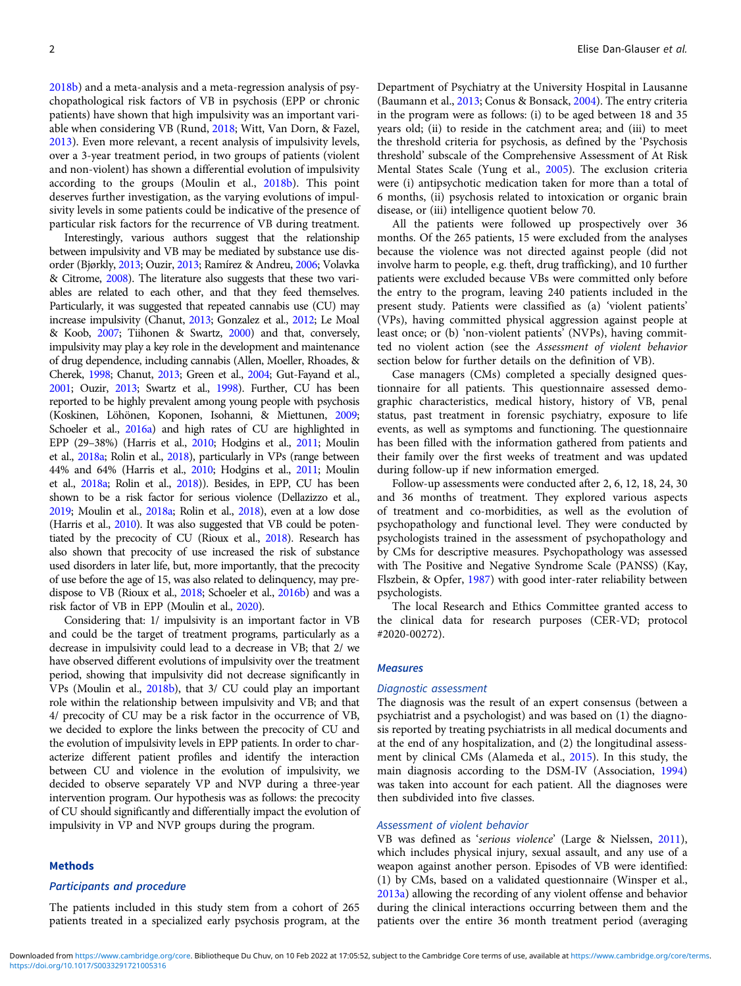[2018b\)](#page-8-0) and a meta-analysis and a meta-regression analysis of psychopathological risk factors of VB in psychosis (EPP or chronic patients) have shown that high impulsivity was an important variable when considering VB (Rund, [2018;](#page-8-0) Witt, Van Dorn, & Fazel, [2013\)](#page-9-0). Even more relevant, a recent analysis of impulsivity levels, over a 3-year treatment period, in two groups of patients (violent and non-violent) has shown a differential evolution of impulsivity according to the groups (Moulin et al., [2018b\)](#page-8-0). This point deserves further investigation, as the varying evolutions of impulsivity levels in some patients could be indicative of the presence of particular risk factors for the recurrence of VB during treatment.

Interestingly, various authors suggest that the relationship between impulsivity and VB may be mediated by substance use disorder (Bjørkly, [2013;](#page-7-0) Ouzir, [2013;](#page-8-0) Ramírez & Andreu, [2006](#page-8-0); Volavka & Citrome, [2008\)](#page-8-0). The literature also suggests that these two variables are related to each other, and that they feed themselves. Particularly, it was suggested that repeated cannabis use (CU) may increase impulsivity (Chanut, [2013](#page-7-0); Gonzalez et al., [2012;](#page-7-0) Le Moal & Koob, [2007;](#page-8-0) Tiihonen & Swartz, [2000](#page-8-0)) and that, conversely, impulsivity may play a key role in the development and maintenance of drug dependence, including cannabis (Allen, Moeller, Rhoades, & Cherek, [1998;](#page-7-0) Chanut, [2013](#page-7-0); Green et al., [2004;](#page-7-0) Gut-Fayand et al., [2001](#page-7-0); Ouzir, [2013](#page-8-0); Swartz et al., [1998](#page-8-0)). Further, CU has been reported to be highly prevalent among young people with psychosis (Koskinen, Löhönen, Koponen, Isohanni, & Miettunen, [2009](#page-7-0); Schoeler et al., [2016a](#page-8-0)) and high rates of CU are highlighted in EPP (29–38%) (Harris et al., [2010;](#page-7-0) Hodgins et al., [2011;](#page-7-0) Moulin et al., [2018a;](#page-8-0) Rolin et al., [2018\)](#page-8-0), particularly in VPs (range between 44% and 64% (Harris et al., [2010](#page-7-0); Hodgins et al., [2011;](#page-7-0) Moulin et al., [2018a](#page-8-0); Rolin et al., [2018\)](#page-8-0)). Besides, in EPP, CU has been shown to be a risk factor for serious violence (Dellazizzo et al., [2019](#page-7-0); Moulin et al., [2018a;](#page-8-0) Rolin et al., [2018](#page-8-0)), even at a low dose (Harris et al., [2010](#page-7-0)). It was also suggested that VB could be potentiated by the precocity of CU (Rioux et al., [2018\)](#page-8-0). Research has also shown that precocity of use increased the risk of substance used disorders in later life, but, more importantly, that the precocity of use before the age of 15, was also related to delinquency, may predispose to VB (Rioux et al., [2018;](#page-8-0) Schoeler et al., [2016b\)](#page-8-0) and was a risk factor of VB in EPP (Moulin et al., [2020\)](#page-8-0).

Considering that: 1/ impulsivity is an important factor in VB and could be the target of treatment programs, particularly as a decrease in impulsivity could lead to a decrease in VB; that 2/ we have observed different evolutions of impulsivity over the treatment period, showing that impulsivity did not decrease significantly in VPs (Moulin et al., [2018b](#page-8-0)), that 3/ CU could play an important role within the relationship between impulsivity and VB; and that 4/ precocity of CU may be a risk factor in the occurrence of VB, we decided to explore the links between the precocity of CU and the evolution of impulsivity levels in EPP patients. In order to characterize different patient profiles and identify the interaction between CU and violence in the evolution of impulsivity, we decided to observe separately VP and NVP during a three-year intervention program. Our hypothesis was as follows: the precocity of CU should significantly and differentially impact the evolution of impulsivity in VP and NVP groups during the program.

#### Methods

## Participants and procedure

The patients included in this study stem from a cohort of 265 patients treated in a specialized early psychosis program, at the

Department of Psychiatry at the University Hospital in Lausanne (Baumann et al., [2013;](#page-7-0) Conus & Bonsack, [2004](#page-7-0)). The entry criteria in the program were as follows: (i) to be aged between 18 and 35 years old; (ii) to reside in the catchment area; and (iii) to meet the threshold criteria for psychosis, as defined by the 'Psychosis threshold' subscale of the Comprehensive Assessment of At Risk Mental States Scale (Yung et al., [2005\)](#page-9-0). The exclusion criteria were (i) antipsychotic medication taken for more than a total of 6 months, (ii) psychosis related to intoxication or organic brain disease, or (iii) intelligence quotient below 70.

All the patients were followed up prospectively over 36 months. Of the 265 patients, 15 were excluded from the analyses because the violence was not directed against people (did not involve harm to people, e.g. theft, drug trafficking), and 10 further patients were excluded because VBs were committed only before the entry to the program, leaving 240 patients included in the present study. Patients were classified as (a) 'violent patients' (VPs), having committed physical aggression against people at least once; or (b) 'non-violent patients' (NVPs), having committed no violent action (see the Assessment of violent behavior section below for further details on the definition of VB).

Case managers (CMs) completed a specially designed questionnaire for all patients. This questionnaire assessed demographic characteristics, medical history, history of VB, penal status, past treatment in forensic psychiatry, exposure to life events, as well as symptoms and functioning. The questionnaire has been filled with the information gathered from patients and their family over the first weeks of treatment and was updated during follow-up if new information emerged.

Follow-up assessments were conducted after 2, 6, 12, 18, 24, 30 and 36 months of treatment. They explored various aspects of treatment and co-morbidities, as well as the evolution of psychopathology and functional level. They were conducted by psychologists trained in the assessment of psychopathology and by CMs for descriptive measures. Psychopathology was assessed with The Positive and Negative Syndrome Scale (PANSS) (Kay, Flszbein, & Opfer, [1987](#page-7-0)) with good inter-rater reliability between psychologists.

The local Research and Ethics Committee granted access to the clinical data for research purposes (CER-VD; protocol #2020-00272).

#### **Measures**

#### Diagnostic assessment

The diagnosis was the result of an expert consensus (between a psychiatrist and a psychologist) and was based on (1) the diagnosis reported by treating psychiatrists in all medical documents and at the end of any hospitalization, and (2) the longitudinal assessment by clinical CMs (Alameda et al., [2015](#page-7-0)). In this study, the main diagnosis according to the DSM-IV (Association, [1994](#page-7-0)) was taken into account for each patient. All the diagnoses were then subdivided into five classes.

## Assessment of violent behavior

VB was defined as 'serious violence' (Large & Nielssen, [2011](#page-8-0)), which includes physical injury, sexual assault, and any use of a weapon against another person. Episodes of VB were identified: (1) by CMs, based on a validated questionnaire (Winsper et al., [2013a\)](#page-8-0) allowing the recording of any violent offense and behavior during the clinical interactions occurring between them and the patients over the entire 36 month treatment period (averaging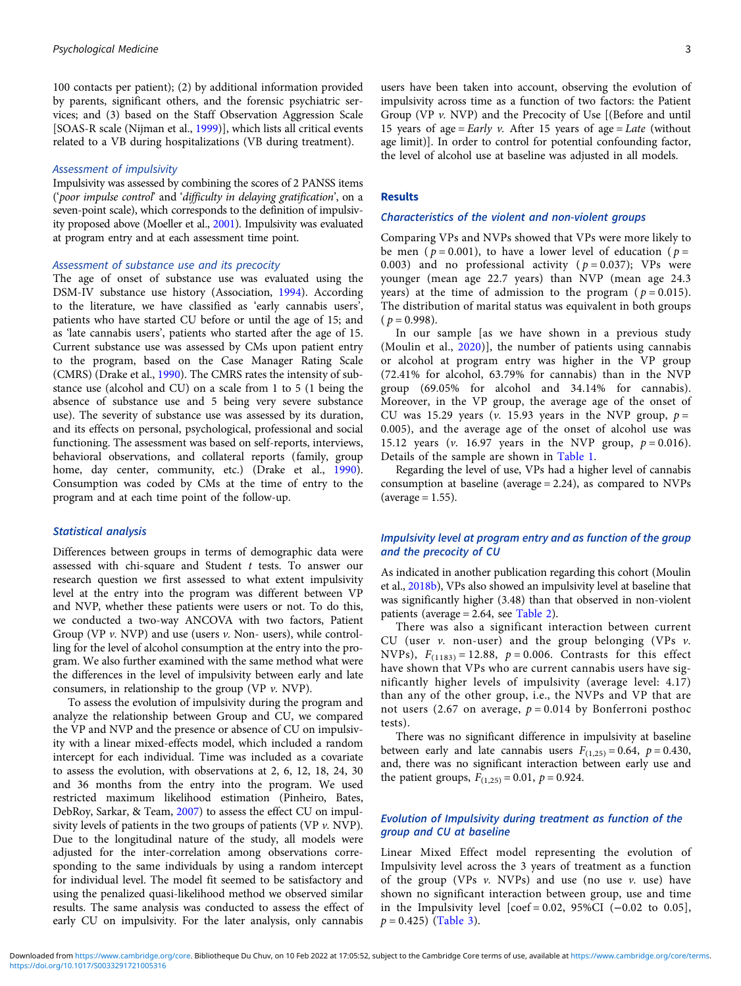100 contacts per patient); (2) by additional information provided by parents, significant others, and the forensic psychiatric services; and (3) based on the Staff Observation Aggression Scale [SOAS-R scale (Nijman et al., [1999](#page-8-0))], which lists all critical events related to a VB during hospitalizations (VB during treatment).

#### Assessment of impulsivity

Impulsivity was assessed by combining the scores of 2 PANSS items ('poor impulse control' and 'difficulty in delaying gratification', on a seven-point scale), which corresponds to the definition of impulsivity proposed above (Moeller et al., [2001\)](#page-8-0). Impulsivity was evaluated at program entry and at each assessment time point.

## Assessment of substance use and its precocity

The age of onset of substance use was evaluated using the DSM-IV substance use history (Association, [1994](#page-7-0)). According to the literature, we have classified as 'early cannabis users', patients who have started CU before or until the age of 15; and as 'late cannabis users', patients who started after the age of 15. Current substance use was assessed by CMs upon patient entry to the program, based on the Case Manager Rating Scale (CMRS) (Drake et al., [1990\)](#page-7-0). The CMRS rates the intensity of substance use (alcohol and CU) on a scale from 1 to 5 (1 being the absence of substance use and 5 being very severe substance use). The severity of substance use was assessed by its duration, and its effects on personal, psychological, professional and social functioning. The assessment was based on self-reports, interviews, behavioral observations, and collateral reports (family, group home, day center, community, etc.) (Drake et al., [1990\)](#page-7-0). Consumption was coded by CMs at the time of entry to the program and at each time point of the follow-up.

## Statistical analysis

Differences between groups in terms of demographic data were assessed with chi-square and Student t tests. To answer our research question we first assessed to what extent impulsivity level at the entry into the program was different between VP and NVP, whether these patients were users or not. To do this, we conducted a two-way ANCOVA with two factors, Patient Group (VP  $\nu$ . NVP) and use (users  $\nu$ . Non- users), while controlling for the level of alcohol consumption at the entry into the program. We also further examined with the same method what were the differences in the level of impulsivity between early and late consumers, in relationship to the group (VP  $\nu$ . NVP).

To assess the evolution of impulsivity during the program and analyze the relationship between Group and CU, we compared the VP and NVP and the presence or absence of CU on impulsivity with a linear mixed-effects model, which included a random intercept for each individual. Time was included as a covariate to assess the evolution, with observations at 2, 6, 12, 18, 24, 30 and 36 months from the entry into the program. We used restricted maximum likelihood estimation (Pinheiro, Bates, DebRoy, Sarkar, & Team, [2007](#page-8-0)) to assess the effect CU on impulsivity levels of patients in the two groups of patients (VP  $\nu$ . NVP). Due to the longitudinal nature of the study, all models were adjusted for the inter-correlation among observations corresponding to the same individuals by using a random intercept for individual level. The model fit seemed to be satisfactory and using the penalized quasi-likelihood method we observed similar results. The same analysis was conducted to assess the effect of early CU on impulsivity. For the later analysis, only cannabis

users have been taken into account, observing the evolution of impulsivity across time as a function of two factors: the Patient Group (VP v. NVP) and the Precocity of Use [(Before and until 15 years of age = Early v. After 15 years of age = Late (without age limit)]. In order to control for potential confounding factor, the level of alcohol use at baseline was adjusted in all models.

#### Results

#### Characteristics of the violent and non-violent groups

Comparing VPs and NVPs showed that VPs were more likely to be men ( $p = 0.001$ ), to have a lower level of education ( $p =$ 0.003) and no professional activity ( $p = 0.037$ ); VPs were younger (mean age 22.7 years) than NVP (mean age 24.3 years) at the time of admission to the program ( $p = 0.015$ ). The distribution of marital status was equivalent in both groups  $(p = 0.998)$ .

In our sample [as we have shown in a previous study (Moulin et al., [2020\)](#page-8-0)], the number of patients using cannabis or alcohol at program entry was higher in the VP group (72.41% for alcohol, 63.79% for cannabis) than in the NVP group (69.05% for alcohol and 34.14% for cannabis). Moreover, in the VP group, the average age of the onset of CU was 15.29 years (v. 15.93 years in the NVP group,  $p =$ 0.005), and the average age of the onset of alcohol use was 15.12 years (v. 16.97 years in the NVP group,  $p = 0.016$ ). Details of the sample are shown in [Table 1.](#page-3-0)

Regarding the level of use, VPs had a higher level of cannabis consumption at baseline (average = 2.24), as compared to NVPs  $(average = 1.55).$ 

## Impulsivity level at program entry and as function of the group and the precocity of CU

As indicated in another publication regarding this cohort (Moulin et al., [2018b](#page-8-0)), VPs also showed an impulsivity level at baseline that was significantly higher (3.48) than that observed in non-violent patients (average = 2.64, see [Table 2\)](#page-4-0).

There was also a significant interaction between current CU (user  $v$ . non-user) and the group belonging (VPs  $v$ . NVPs),  $F_{(1183)} = 12.88$ ,  $p = 0.006$ . Contrasts for this effect have shown that VPs who are current cannabis users have significantly higher levels of impulsivity (average level: 4.17) than any of the other group, i.e., the NVPs and VP that are not users (2.67 on average,  $p = 0.014$  by Bonferroni posthoc tests).

There was no significant difference in impulsivity at baseline between early and late cannabis users  $F_{(1,25)} = 0.64$ ,  $p = 0.430$ , and, there was no significant interaction between early use and the patient groups,  $F_{(1,25)} = 0.01$ ,  $p = 0.924$ .

## Evolution of Impulsivity during treatment as function of the group and CU at baseline

Linear Mixed Effect model representing the evolution of Impulsivity level across the 3 years of treatment as a function of the group (VPs  $v$ . NVPs) and use (no use  $v$ . use) have shown no significant interaction between group, use and time in the Impulsivity level  $[coef = 0.02, 95\% CI$  (-0.02 to 0.05],  $p = 0.425$ ) [\(Table 3\)](#page-5-0).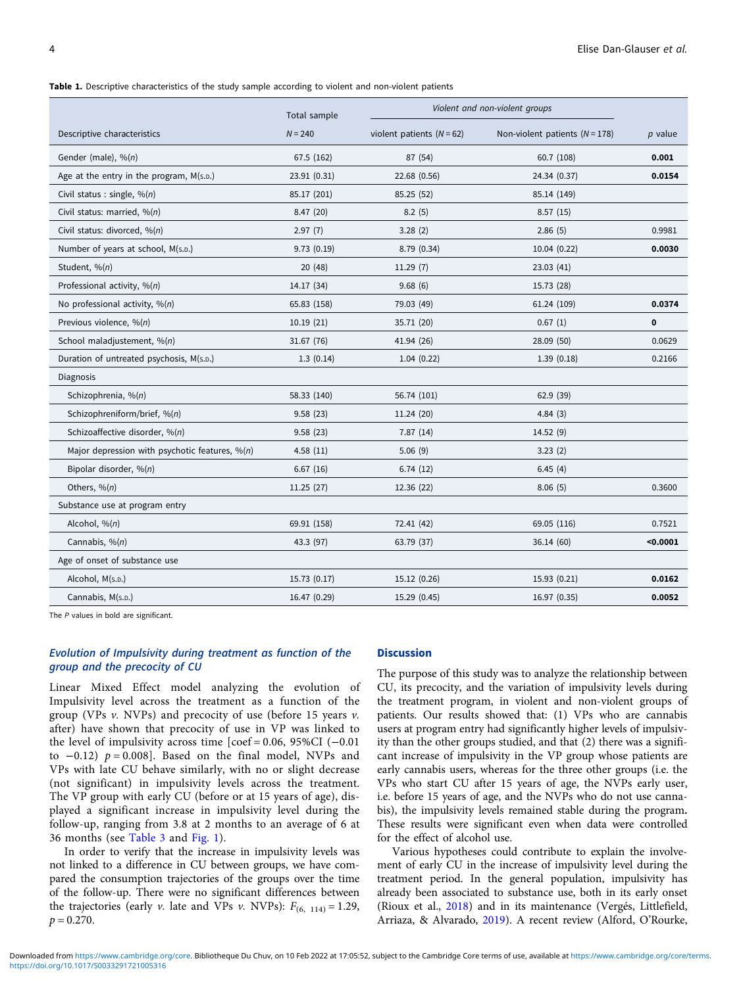<span id="page-3-0"></span>Table 1. Descriptive characteristics of the study sample according to violent and non-violent patients

|                                                                                 | Total sample | Violent and non-violent groups |                                  |           |
|---------------------------------------------------------------------------------|--------------|--------------------------------|----------------------------------|-----------|
| Descriptive characteristics                                                     | $N = 240$    | violent patients ( $N = 62$ )  | Non-violent patients $(N = 178)$ | $p$ value |
| Gender (male), $\frac{6}{n}$                                                    | 67.5 (162)   | 87 (54)                        | 60.7 (108)                       | 0.001     |
| Age at the entry in the program, M(s.p.)                                        | 23.91 (0.31) | 22.68 (0.56)                   | 24.34 (0.37)                     | 0.0154    |
| Civil status : single, $\mathcal{P}_0(n)$                                       | 85.17 (201)  | 85.25 (52)                     | 85.14 (149)                      |           |
| Civil status: married, %(n)                                                     | 8.47(20)     | 8.2(5)                         | 8.57(15)                         |           |
| Civil status: divorced, %(n)                                                    | 2.97(7)      | 3.28(2)                        | 2.86(5)                          | 0.9981    |
| Number of years at school, M(s.D.)                                              | 9.73(0.19)   | 8.79 (0.34)                    | 10.04 (0.22)                     | 0.0030    |
| Student, %(n)                                                                   | 20(48)       | 11.29(7)                       | 23.03(41)                        |           |
| Professional activity, %(n)                                                     | 14.17 (34)   | 9.68(6)                        | 15.73 (28)                       |           |
| No professional activity, $\frac{96(n)}{n}$                                     | 65.83 (158)  | 79.03 (49)                     | 61.24 (109)                      | 0.0374    |
| Previous violence, %(n)                                                         | 10.19(21)    | 35.71 (20)                     | 0.67(1)                          | 0         |
| School maladjustement, %(n)                                                     | 31.67 (76)   | 41.94 (26)                     | 28.09 (50)                       | 0.0629    |
| Duration of untreated psychosis, M(s.D.)                                        | 1.3(0.14)    | 1.04(0.22)                     | 1.39(0.18)                       | 0.2166    |
| Diagnosis                                                                       |              |                                |                                  |           |
| Schizophrenia, %(n)                                                             | 58.33 (140)  | 56.74 (101)                    | 62.9(39)                         |           |
| Schizophreniform/brief, %(n)                                                    | 9.58(23)     | 11.24 (20)                     | 4.84(3)                          |           |
| Schizoaffective disorder, %(n)                                                  | 9.58(23)     | 7.87(14)                       | 14.52 (9)                        |           |
| Major depression with psychotic features, $\frac{\partial \phi(n)}{\partial x}$ | 4.58(11)     | 5.06(9)                        | 3.23(2)                          |           |
| Bipolar disorder, %(n)                                                          | 6.67(16)     | 6.74(12)                       | 6.45(4)                          |           |
| Others, $\frac{6(n)}{n}$                                                        | 11.25 (27)   | 12.36 (22)                     | 8.06(5)                          | 0.3600    |
| Substance use at program entry                                                  |              |                                |                                  |           |
| Alcohol, $\frac{1}{2}$ (n)                                                      | 69.91 (158)  | 72.41 (42)                     | 69.05 (116)                      | 0.7521    |
| Cannabis, %(n)                                                                  | 43.3 (97)    | 63.79 (37)                     | 36.14 (60)                       | $0.0001$  |
| Age of onset of substance use                                                   |              |                                |                                  |           |
| Alcohol, M(s.p.)                                                                | 15.73 (0.17) | 15.12 (0.26)                   | 15.93 (0.21)                     | 0.0162    |
| Cannabis, M(s.p.)                                                               | 16.47 (0.29) | 15.29 (0.45)                   | 16.97 (0.35)                     | 0.0052    |

The P values in bold are significant.

## Evolution of Impulsivity during treatment as function of the group and the precocity of CU

Linear Mixed Effect model analyzing the evolution of Impulsivity level across the treatment as a function of the group (VPs  $v$ . NVPs) and precocity of use (before 15 years  $v$ . after) have shown that precocity of use in VP was linked to the level of impulsivity across time  $[{\rm coef} = 0.06, 95\% {\rm CI} (-0.01$ to  $-0.12$ )  $p = 0.008$ ]. Based on the final model, NVPs and VPs with late CU behave similarly, with no or slight decrease (not significant) in impulsivity levels across the treatment. The VP group with early CU (before or at 15 years of age), displayed a significant increase in impulsivity level during the follow-up, ranging from 3.8 at 2 months to an average of 6 at 36 months (see [Table 3](#page-5-0) and [Fig. 1](#page-5-0)).

In order to verify that the increase in impulsivity levels was not linked to a difference in CU between groups, we have compared the consumption trajectories of the groups over the time of the follow-up. There were no significant differences between the trajectories (early v. late and VPs v. NVPs):  $F_{(6, 114)} = 1.29$ ,  $p = 0.270$ .

## **Discussion**

The purpose of this study was to analyze the relationship between CU, its precocity, and the variation of impulsivity levels during the treatment program, in violent and non-violent groups of patients. Our results showed that: (1) VPs who are cannabis users at program entry had significantly higher levels of impulsivity than the other groups studied, and that (2) there was a significant increase of impulsivity in the VP group whose patients are early cannabis users, whereas for the three other groups (i.e. the VPs who start CU after 15 years of age, the NVPs early user, i.e. before 15 years of age, and the NVPs who do not use cannabis), the impulsivity levels remained stable during the program. These results were significant even when data were controlled for the effect of alcohol use.

Various hypotheses could contribute to explain the involvement of early CU in the increase of impulsivity level during the treatment period. In the general population, impulsivity has already been associated to substance use, both in its early onset (Rioux et al., [2018\)](#page-8-0) and in its maintenance (Vergés, Littlefield, Arriaza, & Alvarado, [2019](#page-8-0)). A recent review (Alford, O'Rourke,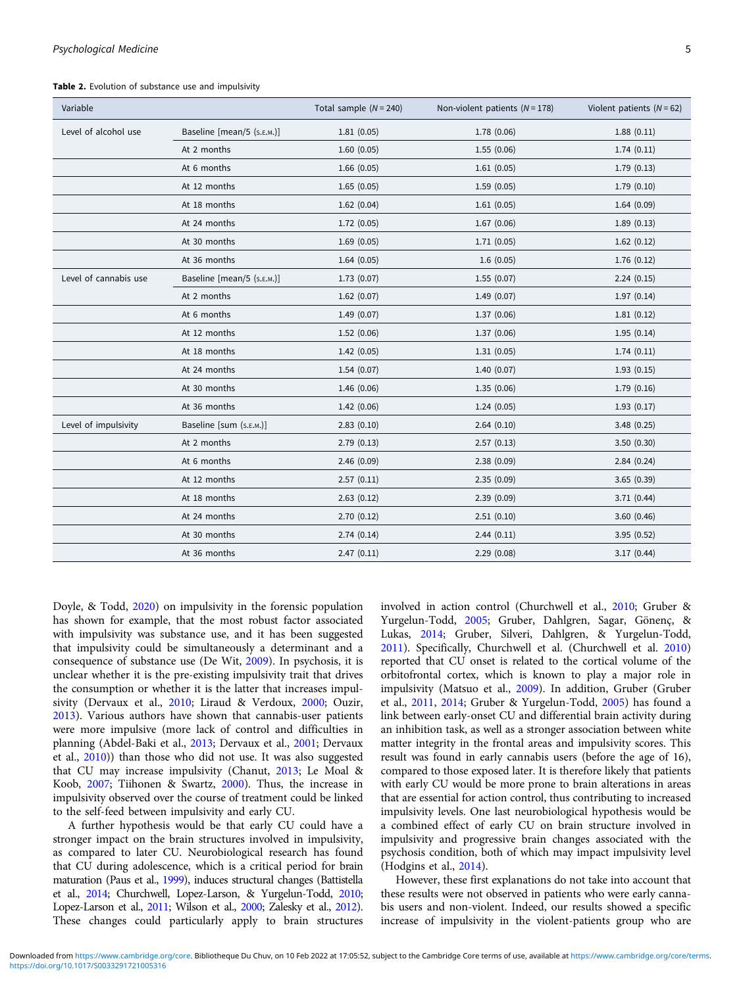<span id="page-4-0"></span>Table 2. Evolution of substance use and impulsivity

| Variable              |                            | Total sample $(N = 240)$ | Non-violent patients ( $N = 178$ ) | Violent patients ( $N = 62$ ) |
|-----------------------|----------------------------|--------------------------|------------------------------------|-------------------------------|
| Level of alcohol use  | Baseline [mean/5 (s.E.M.)] | 1.81(0.05)               | 1.78 (0.06)                        | 1.88(0.11)                    |
|                       | At 2 months                | 1.60(0.05)               | 1.55(0.06)                         | 1.74(0.11)                    |
|                       | At 6 months                | 1.66(0.05)               | 1.61(0.05)                         | 1.79(0.13)                    |
|                       | At 12 months               | 1.65(0.05)               | 1.59(0.05)                         | 1.79(0.10)                    |
|                       | At 18 months               | 1.62(0.04)               | 1.61(0.05)                         | 1.64(0.09)                    |
|                       | At 24 months               | 1.72(0.05)               | 1.67(0.06)                         | 1.89(0.13)                    |
|                       | At 30 months               | 1.69(0.05)               | 1.71(0.05)                         | 1.62(0.12)                    |
|                       | At 36 months               | 1.64(0.05)               | 1.6(0.05)                          | 1.76(0.12)                    |
| Level of cannabis use | Baseline [mean/5 (s.E.M.)] | 1.73(0.07)               | 1.55(0.07)                         | 2.24(0.15)                    |
|                       | At 2 months                | 1.62(0.07)               | 1.49(0.07)                         | 1.97(0.14)                    |
|                       | At 6 months                | 1.49(0.07)               | 1.37(0.06)                         | 1.81(0.12)                    |
|                       | At 12 months               | 1.52(0.06)               | 1.37(0.06)                         | 1.95(0.14)                    |
|                       | At 18 months               | 1.42(0.05)               | 1.31(0.05)                         | 1.74(0.11)                    |
|                       | At 24 months               | 1.54(0.07)               | 1.40(0.07)                         | 1.93(0.15)                    |
|                       | At 30 months               | 1.46(0.06)               | 1.35(0.06)                         | 1.79(0.16)                    |
|                       | At 36 months               | 1.42(0.06)               | 1.24(0.05)                         | 1.93(0.17)                    |
| Level of impulsivity  | Baseline [sum (s.E.M.)]    | 2.83(0.10)               | 2.64(0.10)                         | 3.48(0.25)                    |
|                       | At 2 months                | 2.79(0.13)               | 2.57(0.13)                         | 3.50(0.30)                    |
|                       | At 6 months                | 2.46(0.09)               | 2.38(0.09)                         | 2.84(0.24)                    |
|                       | At 12 months               | 2.57(0.11)               | 2.35(0.09)                         | 3.65(0.39)                    |
|                       | At 18 months               | 2.63(0.12)               | 2.39(0.09)                         | 3.71(0.44)                    |
|                       | At 24 months               | 2.70(0.12)               | 2.51(0.10)                         | 3.60(0.46)                    |
|                       | At 30 months               | 2.74(0.14)               | 2.44(0.11)                         | 3.95(0.52)                    |
|                       | At 36 months               | 2.47(0.11)               | 2.29(0.08)                         | 3.17(0.44)                    |

Doyle, & Todd, [2020\)](#page-7-0) on impulsivity in the forensic population has shown for example, that the most robust factor associated with impulsivity was substance use, and it has been suggested that impulsivity could be simultaneously a determinant and a consequence of substance use (De Wit, [2009\)](#page-7-0). In psychosis, it is unclear whether it is the pre-existing impulsivity trait that drives the consumption or whether it is the latter that increases impulsivity (Dervaux et al., [2010;](#page-7-0) Liraud & Verdoux, [2000;](#page-8-0) Ouzir, [2013\)](#page-8-0). Various authors have shown that cannabis-user patients were more impulsive (more lack of control and difficulties in planning (Abdel-Baki et al., [2013](#page-6-0); Dervaux et al., [2001](#page-7-0); Dervaux et al., [2010](#page-7-0))) than those who did not use. It was also suggested that CU may increase impulsivity (Chanut, [2013](#page-7-0); Le Moal & Koob, [2007](#page-8-0); Tiihonen & Swartz, [2000](#page-8-0)). Thus, the increase in impulsivity observed over the course of treatment could be linked to the self-feed between impulsivity and early CU.

A further hypothesis would be that early CU could have a stronger impact on the brain structures involved in impulsivity, as compared to later CU. Neurobiological research has found that CU during adolescence, which is a critical period for brain maturation (Paus et al., [1999\)](#page-8-0), induces structural changes (Battistella et al., [2014](#page-7-0); Churchwell, Lopez-Larson, & Yurgelun-Todd, [2010;](#page-7-0) Lopez-Larson et al., [2011;](#page-8-0) Wilson et al., [2000;](#page-8-0) Zalesky et al., [2012\)](#page-9-0). These changes could particularly apply to brain structures

involved in action control (Churchwell et al., [2010](#page-7-0); Gruber & Yurgelun-Todd, [2005](#page-7-0); Gruber, Dahlgren, Sagar, Gönenç, & Lukas, [2014](#page-7-0); Gruber, Silveri, Dahlgren, & Yurgelun-Todd, [2011](#page-7-0)). Specifically, Churchwell et al. (Churchwell et al. [2010](#page-7-0)) reported that CU onset is related to the cortical volume of the orbitofrontal cortex, which is known to play a major role in impulsivity (Matsuo et al., [2009](#page-8-0)). In addition, Gruber (Gruber et al., [2011](#page-7-0), [2014;](#page-7-0) Gruber & Yurgelun-Todd, [2005](#page-7-0)) has found a link between early-onset CU and differential brain activity during an inhibition task, as well as a stronger association between white matter integrity in the frontal areas and impulsivity scores. This result was found in early cannabis users (before the age of 16), compared to those exposed later. It is therefore likely that patients with early CU would be more prone to brain alterations in areas that are essential for action control, thus contributing to increased impulsivity levels. One last neurobiological hypothesis would be a combined effect of early CU on brain structure involved in impulsivity and progressive brain changes associated with the psychosis condition, both of which may impact impulsivity level (Hodgins et al., [2014](#page-7-0)).

However, these first explanations do not take into account that these results were not observed in patients who were early cannabis users and non-violent. Indeed, our results showed a specific increase of impulsivity in the violent-patients group who are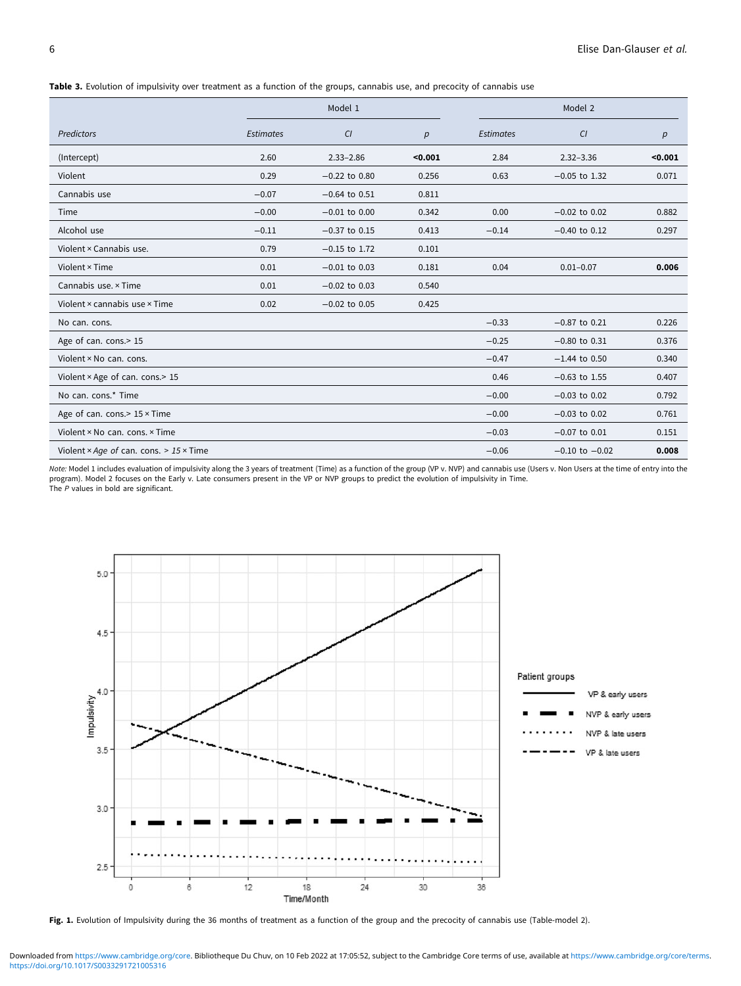<span id="page-5-0"></span>Table 3. Evolution of impulsivity over treatment as a function of the groups, cannabis use, and precocity of cannabis use

|                                                | Model 1          |                   |         |                  | Model 2            |         |  |
|------------------------------------------------|------------------|-------------------|---------|------------------|--------------------|---------|--|
| <b>Predictors</b>                              | <b>Estimates</b> | CI                | p       | <b>Estimates</b> | CI                 | р       |  |
| (Intercept)                                    | 2.60             | $2.33 - 2.86$     | $0.001$ | 2.84             | $2.32 - 3.36$      | $0.001$ |  |
| Violent                                        | 0.29             | $-0.22$ to $0.80$ | 0.256   | 0.63             | $-0.05$ to 1.32    | 0.071   |  |
| Cannabis use                                   | $-0.07$          | $-0.64$ to $0.51$ | 0.811   |                  |                    |         |  |
| Time                                           | $-0.00$          | $-0.01$ to $0.00$ | 0.342   | 0.00             | $-0.02$ to 0.02    | 0.882   |  |
| Alcohol use                                    | $-0.11$          | $-0.37$ to 0.15   | 0.413   | $-0.14$          | $-0.40$ to $0.12$  | 0.297   |  |
| Violent × Cannabis use.                        | 0.79             | $-0.15$ to 1.72   | 0.101   |                  |                    |         |  |
| Violent × Time                                 | 0.01             | $-0.01$ to 0.03   | 0.181   | 0.04             | $0.01 - 0.07$      | 0.006   |  |
| Cannabis use. × Time                           | 0.01             | $-0.02$ to 0.03   | 0.540   |                  |                    |         |  |
| Violent × cannabis use × Time                  | 0.02             | $-0.02$ to 0.05   | 0.425   |                  |                    |         |  |
| No can. cons.                                  |                  |                   |         | $-0.33$          | $-0.87$ to 0.21    | 0.226   |  |
| Age of can. cons.> 15                          |                  |                   |         | $-0.25$          | $-0.80$ to 0.31    | 0.376   |  |
| Violent × No can. cons.                        |                  |                   |         | $-0.47$          | $-1.44$ to 0.50    | 0.340   |  |
| Violent × Age of can. cons.> 15                |                  |                   |         | 0.46             | $-0.63$ to 1.55    | 0.407   |  |
| No can. cons.* Time                            |                  |                   |         | $-0.00$          | $-0.03$ to 0.02    | 0.792   |  |
| Age of can. cons. > $15 \times$ Time           |                  |                   |         | $-0.00$          | $-0.03$ to 0.02    | 0.761   |  |
| Violent × No can. cons. × Time                 |                  |                   |         | $-0.03$          | $-0.07$ to $0.01$  | 0.151   |  |
| Violent × Age of can. cons. > $15 \times$ Time |                  |                   |         | $-0.06$          | $-0.10$ to $-0.02$ | 0.008   |  |

Note: Model 1 includes evaluation of impulsivity along the 3 years of treatment (Time) as a function of the group (VP v. NVP) and cannabis use (Users v. Non Users at the time of entry into the program). Model 2 focuses on the Early v. Late consumers present in the VP or NVP groups to predict the evolution of impulsivity in Time. The P values in bold are significant.



Fig. 1. Evolution of Impulsivity during the 36 months of treatment as a function of the group and the precocity of cannabis use (Table-model 2).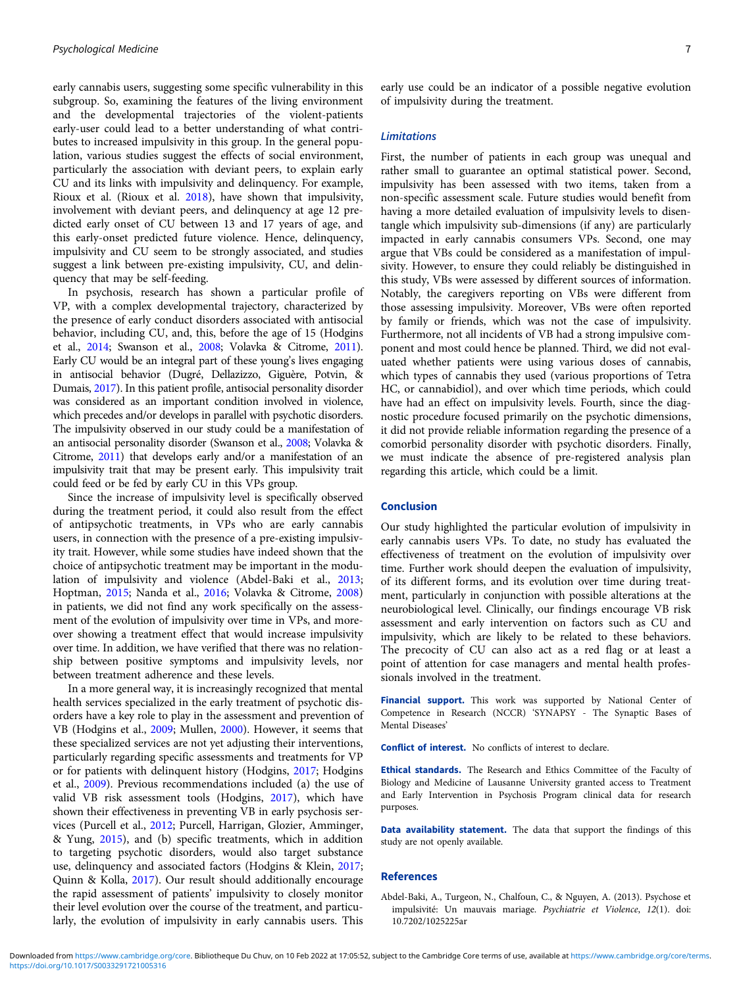<span id="page-6-0"></span>early cannabis users, suggesting some specific vulnerability in this subgroup. So, examining the features of the living environment and the developmental trajectories of the violent-patients early-user could lead to a better understanding of what contributes to increased impulsivity in this group. In the general population, various studies suggest the effects of social environment, particularly the association with deviant peers, to explain early CU and its links with impulsivity and delinquency. For example, Rioux et al. (Rioux et al. [2018](#page-8-0)), have shown that impulsivity, involvement with deviant peers, and delinquency at age 12 predicted early onset of CU between 13 and 17 years of age, and this early-onset predicted future violence. Hence, delinquency, impulsivity and CU seem to be strongly associated, and studies suggest a link between pre-existing impulsivity, CU, and delinquency that may be self-feeding.

In psychosis, research has shown a particular profile of VP, with a complex developmental trajectory, characterized by the presence of early conduct disorders associated with antisocial behavior, including CU, and, this, before the age of 15 (Hodgins et al., [2014](#page-7-0); Swanson et al., [2008](#page-8-0); Volavka & Citrome, [2011\)](#page-8-0). Early CU would be an integral part of these young's lives engaging in antisocial behavior (Dugré, Dellazizzo, Giguère, Potvin, & Dumais, [2017](#page-7-0)). In this patient profile, antisocial personality disorder was considered as an important condition involved in violence, which precedes and/or develops in parallel with psychotic disorders. The impulsivity observed in our study could be a manifestation of an antisocial personality disorder (Swanson et al., [2008;](#page-8-0) Volavka & Citrome, [2011\)](#page-8-0) that develops early and/or a manifestation of an impulsivity trait that may be present early. This impulsivity trait could feed or be fed by early CU in this VPs group.

Since the increase of impulsivity level is specifically observed during the treatment period, it could also result from the effect of antipsychotic treatments, in VPs who are early cannabis users, in connection with the presence of a pre-existing impulsivity trait. However, while some studies have indeed shown that the choice of antipsychotic treatment may be important in the modulation of impulsivity and violence (Abdel-Baki et al., 2013; Hoptman, [2015;](#page-7-0) Nanda et al., [2016](#page-8-0); Volavka & Citrome, [2008\)](#page-8-0) in patients, we did not find any work specifically on the assessment of the evolution of impulsivity over time in VPs, and moreover showing a treatment effect that would increase impulsivity over time. In addition, we have verified that there was no relationship between positive symptoms and impulsivity levels, nor between treatment adherence and these levels.

In a more general way, it is increasingly recognized that mental health services specialized in the early treatment of psychotic disorders have a key role to play in the assessment and prevention of VB (Hodgins et al., [2009](#page-7-0); Mullen, [2000](#page-8-0)). However, it seems that these specialized services are not yet adjusting their interventions, particularly regarding specific assessments and treatments for VP or for patients with delinquent history (Hodgins, [2017](#page-7-0); Hodgins et al., [2009](#page-7-0)). Previous recommendations included (a) the use of valid VB risk assessment tools (Hodgins, [2017\)](#page-7-0), which have shown their effectiveness in preventing VB in early psychosis services (Purcell et al., [2012;](#page-8-0) Purcell, Harrigan, Glozier, Amminger, & Yung, [2015\)](#page-8-0), and (b) specific treatments, which in addition to targeting psychotic disorders, would also target substance use, delinquency and associated factors (Hodgins & Klein, [2017;](#page-7-0) Quinn & Kolla, [2017](#page-8-0)). Our result should additionally encourage the rapid assessment of patients' impulsivity to closely monitor their level evolution over the course of the treatment, and particularly, the evolution of impulsivity in early cannabis users. This

#### Limitations

First, the number of patients in each group was unequal and rather small to guarantee an optimal statistical power. Second, impulsivity has been assessed with two items, taken from a non-specific assessment scale. Future studies would benefit from having a more detailed evaluation of impulsivity levels to disentangle which impulsivity sub-dimensions (if any) are particularly impacted in early cannabis consumers VPs. Second, one may argue that VBs could be considered as a manifestation of impulsivity. However, to ensure they could reliably be distinguished in this study, VBs were assessed by different sources of information. Notably, the caregivers reporting on VBs were different from those assessing impulsivity. Moreover, VBs were often reported by family or friends, which was not the case of impulsivity. Furthermore, not all incidents of VB had a strong impulsive component and most could hence be planned. Third, we did not evaluated whether patients were using various doses of cannabis, which types of cannabis they used (various proportions of Tetra HC, or cannabidiol), and over which time periods, which could have had an effect on impulsivity levels. Fourth, since the diagnostic procedure focused primarily on the psychotic dimensions, it did not provide reliable information regarding the presence of a comorbid personality disorder with psychotic disorders. Finally, we must indicate the absence of pre-registered analysis plan regarding this article, which could be a limit.

## Conclusion

Our study highlighted the particular evolution of impulsivity in early cannabis users VPs. To date, no study has evaluated the effectiveness of treatment on the evolution of impulsivity over time. Further work should deepen the evaluation of impulsivity, of its different forms, and its evolution over time during treatment, particularly in conjunction with possible alterations at the neurobiological level. Clinically, our findings encourage VB risk assessment and early intervention on factors such as CU and impulsivity, which are likely to be related to these behaviors. The precocity of CU can also act as a red flag or at least a point of attention for case managers and mental health professionals involved in the treatment.

Financial support. This work was supported by National Center of Competence in Research (NCCR) 'SYNAPSY - The Synaptic Bases of Mental Diseases'

Conflict of interest. No conflicts of interest to declare.

Ethical standards. The Research and Ethics Committee of the Faculty of Biology and Medicine of Lausanne University granted access to Treatment and Early Intervention in Psychosis Program clinical data for research purposes.

Data availability statement. The data that support the findings of this study are not openly available.

#### References

Abdel-Baki, A., Turgeon, N., Chalfoun, C., & Nguyen, A. (2013). Psychose et impulsivité: Un mauvais mariage. Psychiatrie et Violence, 12(1). doi: 10.7202/1025225ar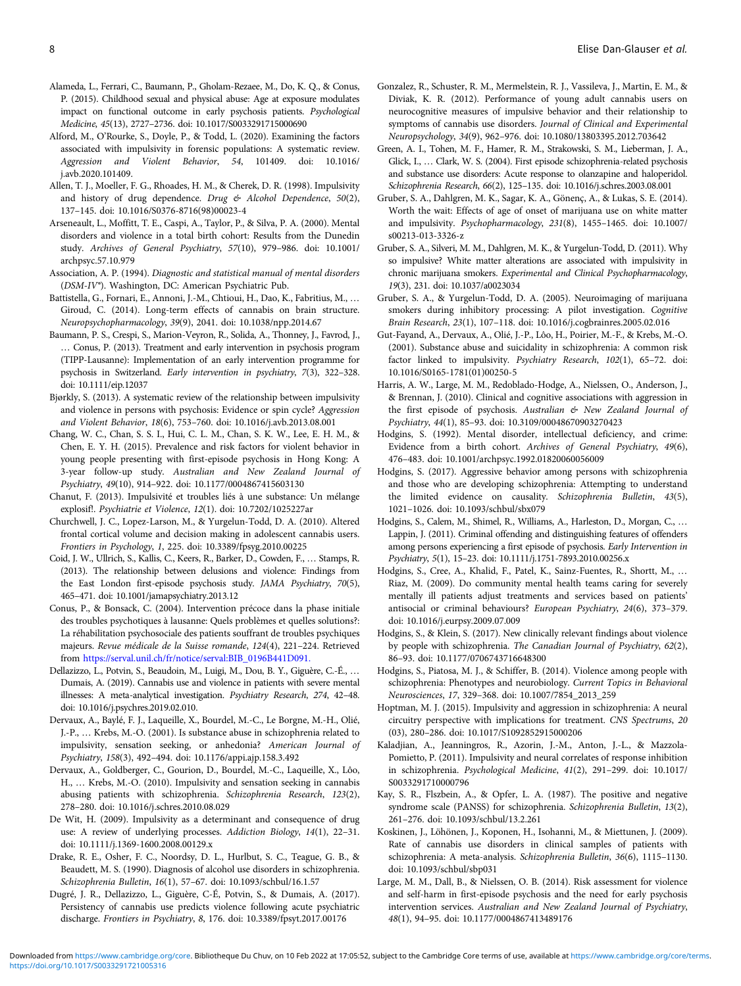- <span id="page-7-0"></span>Alameda, L., Ferrari, C., Baumann, P., Gholam-Rezaee, M., Do, K. Q., & Conus, P. (2015). Childhood sexual and physical abuse: Age at exposure modulates impact on functional outcome in early psychosis patients. Psychological Medicine, 45(13), 2727–2736. doi: 10.1017/S0033291715000690
- Alford, M., O'Rourke, S., Doyle, P., & Todd, L. (2020). Examining the factors associated with impulsivity in forensic populations: A systematic review. Aggression and Violent Behavior, 54, 101409. doi: 10.1016/ j.avb.2020.101409.
- Allen, T. J., Moeller, F. G., Rhoades, H. M., & Cherek, D. R. (1998). Impulsivity and history of drug dependence. Drug  $\mathfrak{G}$  Alcohol Dependence, 50(2), 137–145. doi: 10.1016/S0376-8716(98)00023-4
- Arseneault, L., Moffitt, T. E., Caspi, A., Taylor, P., & Silva, P. A. (2000). Mental disorders and violence in a total birth cohort: Results from the Dunedin study. Archives of General Psychiatry, 57(10), 979–986. doi: 10.1001/ archpsyc.57.10.979
- Association, A. P. (1994). Diagnostic and statistical manual of mental disorders (DSM-IV®). Washington, DC: American Psychiatric Pub.
- Battistella, G., Fornari, E., Annoni, J.-M., Chtioui, H., Dao, K., Fabritius, M., … Giroud, C. (2014). Long-term effects of cannabis on brain structure. Neuropsychopharmacology, 39(9), 2041. doi: 10.1038/npp.2014.67
- Baumann, P. S., Crespi, S., Marion-Veyron, R., Solida, A., Thonney, J., Favrod, J., … Conus, P. (2013). Treatment and early intervention in psychosis program (TIPP-Lausanne): Implementation of an early intervention programme for psychosis in Switzerland. Early intervention in psychiatry, 7(3), 322–328. doi: 10.1111/eip.12037
- Bjørkly, S. (2013). A systematic review of the relationship between impulsivity and violence in persons with psychosis: Evidence or spin cycle? Aggression and Violent Behavior, 18(6), 753–760. doi: 10.1016/j.avb.2013.08.001
- Chang, W. C., Chan, S. S. I., Hui, C. L. M., Chan, S. K. W., Lee, E. H. M., & Chen, E. Y. H. (2015). Prevalence and risk factors for violent behavior in young people presenting with first-episode psychosis in Hong Kong: A 3-year follow-up study. Australian and New Zealand Journal of Psychiatry, 49(10), 914–922. doi: 10.1177/0004867415603130
- Chanut, F. (2013). Impulsivité et troubles liés à une substance: Un mélange explosif!. Psychiatrie et Violence, 12(1). doi: 10.7202/1025227ar
- Churchwell, J. C., Lopez-Larson, M., & Yurgelun-Todd, D. A. (2010). Altered frontal cortical volume and decision making in adolescent cannabis users. Frontiers in Psychology, 1, 225. doi: 10.3389/fpsyg.2010.00225
- Coid, J. W., Ullrich, S., Kallis, C., Keers, R., Barker, D., Cowden, F., … Stamps, R. (2013). The relationship between delusions and violence: Findings from the East London first-episode psychosis study. JAMA Psychiatry, 70(5), 465–471. doi: 10.1001/jamapsychiatry.2013.12
- Conus, P., & Bonsack, C. (2004). Intervention précoce dans la phase initiale des troubles psychotiques à lausanne: Quels problèmes et quelles solutions?: La réhabilitation psychosociale des patients souffrant de troubles psychiques majeurs. Revue médicale de la Suisse romande, 124(4), 221–224. Retrieved from [https://serval.unil.ch/fr/notice/serval:BIB\\_0196B441D091.](https://serval.unil.ch/fr/notice/serval:BIB_0196B441D091.)
- Dellazizzo, L., Potvin, S., Beaudoin, M., Luigi, M., Dou, B. Y., Giguère, C.-É., … Dumais, A. (2019). Cannabis use and violence in patients with severe mental illnesses: A meta-analytical investigation. Psychiatry Research, 274, 42–48. doi: 10.1016/j.psychres.2019.02.010.
- Dervaux, A., Baylé, F. J., Laqueille, X., Bourdel, M.-C., Le Borgne, M.-H., Olié, J.-P., … Krebs, M.-O. (2001). Is substance abuse in schizophrenia related to impulsivity, sensation seeking, or anhedonia? American Journal of Psychiatry, 158(3), 492–494. doi: 10.1176/appi.ajp.158.3.492
- Dervaux, A., Goldberger, C., Gourion, D., Bourdel, M.-C., Laqueille, X., Lôo, H., … Krebs, M.-O. (2010). Impulsivity and sensation seeking in cannabis abusing patients with schizophrenia. Schizophrenia Research, 123(2), 278–280. doi: 10.1016/j.schres.2010.08.029
- De Wit, H. (2009). Impulsivity as a determinant and consequence of drug use: A review of underlying processes. Addiction Biology, 14(1), 22–31. doi: 10.1111/j.1369-1600.2008.00129.x
- Drake, R. E., Osher, F. C., Noordsy, D. L., Hurlbut, S. C., Teague, G. B., & Beaudett, M. S. (1990). Diagnosis of alcohol use disorders in schizophrenia. Schizophrenia Bulletin, 16(1), 57–67. doi: 10.1093/schbul/16.1.57
- Dugré, J. R., Dellazizzo, L., Giguère, C-É, Potvin, S., & Dumais, A. (2017). Persistency of cannabis use predicts violence following acute psychiatric discharge. Frontiers in Psychiatry, 8, 176. doi: 10.3389/fpsyt.2017.00176
- Gonzalez, R., Schuster, R. M., Mermelstein, R. J., Vassileva, J., Martin, E. M., & Diviak, K. R. (2012). Performance of young adult cannabis users on neurocognitive measures of impulsive behavior and their relationship to symptoms of cannabis use disorders. Journal of Clinical and Experimental Neuropsychology, 34(9), 962–976. doi: 10.1080/13803395.2012.703642
- Green, A. I., Tohen, M. F., Hamer, R. M., Strakowski, S. M., Lieberman, J. A., Glick, I., … Clark, W. S. (2004). First episode schizophrenia-related psychosis and substance use disorders: Acute response to olanzapine and haloperidol. Schizophrenia Research, 66(2), 125–135. doi: 10.1016/j.schres.2003.08.001
- Gruber, S. A., Dahlgren, M. K., Sagar, K. A., Gönenç, A., & Lukas, S. E. (2014). Worth the wait: Effects of age of onset of marijuana use on white matter and impulsivity. Psychopharmacology, 231(8), 1455–1465. doi: 10.1007/ s00213-013-3326-z
- Gruber, S. A., Silveri, M. M., Dahlgren, M. K., & Yurgelun-Todd, D. (2011). Why so impulsive? White matter alterations are associated with impulsivity in chronic marijuana smokers. Experimental and Clinical Psychopharmacology, 19(3), 231. doi: 10.1037/a0023034
- Gruber, S. A., & Yurgelun-Todd, D. A. (2005). Neuroimaging of marijuana smokers during inhibitory processing: A pilot investigation. Cognitive Brain Research, 23(1), 107–118. doi: 10.1016/j.cogbrainres.2005.02.016
- Gut-Fayand, A., Dervaux, A., Olié, J.-P., Lôo, H., Poirier, M.-F., & Krebs, M.-O. (2001). Substance abuse and suicidality in schizophrenia: A common risk factor linked to impulsivity. Psychiatry Research, 102(1), 65–72. doi: 10.1016/S0165-1781(01)00250-5
- Harris, A. W., Large, M. M., Redoblado-Hodge, A., Nielssen, O., Anderson, J., & Brennan, J. (2010). Clinical and cognitive associations with aggression in the first episode of psychosis. Australian & New Zealand Journal of Psychiatry, 44(1), 85–93. doi: 10.3109/00048670903270423
- Hodgins, S. (1992). Mental disorder, intellectual deficiency, and crime: Evidence from a birth cohort. Archives of General Psychiatry, 49(6), 476–483. doi: 10.1001/archpsyc.1992.01820060056009
- Hodgins, S. (2017). Aggressive behavior among persons with schizophrenia and those who are developing schizophrenia: Attempting to understand the limited evidence on causality. Schizophrenia Bulletin, 43(5), 1021–1026. doi: 10.1093/schbul/sbx079
- Hodgins, S., Calem, M., Shimel, R., Williams, A., Harleston, D., Morgan, C., … Lappin, J. (2011). Criminal offending and distinguishing features of offenders among persons experiencing a first episode of psychosis. Early Intervention in Psychiatry, 5(1), 15–23. doi: 10.1111/j.1751-7893.2010.00256.x
- Hodgins, S., Cree, A., Khalid, F., Patel, K., Sainz-Fuentes, R., Shortt, M., … Riaz, M. (2009). Do community mental health teams caring for severely mentally ill patients adjust treatments and services based on patients' antisocial or criminal behaviours? European Psychiatry, 24(6), 373–379. doi: 10.1016/j.eurpsy.2009.07.009
- Hodgins, S., & Klein, S. (2017). New clinically relevant findings about violence by people with schizophrenia. The Canadian Journal of Psychiatry, 62(2), 86–93. doi: 10.1177/0706743716648300
- Hodgins, S., Piatosa, M. J., & Schiffer, B. (2014). Violence among people with schizophrenia: Phenotypes and neurobiology. Current Topics in Behavioral Neurosciences, 17, 329–368. doi: 10.1007/7854\_2013\_259
- Hoptman, M. J. (2015). Impulsivity and aggression in schizophrenia: A neural circuitry perspective with implications for treatment. CNS Spectrums, 20 (03), 280–286. doi: 10.1017/S1092852915000206
- Kaladjian, A., Jeanningros, R., Azorin, J.-M., Anton, J.-L., & Mazzola-Pomietto, P. (2011). Impulsivity and neural correlates of response inhibition in schizophrenia. Psychological Medicine, 41(2), 291–299. doi: 10.1017/ S0033291710000796
- Kay, S. R., Flszbein, A., & Opfer, L. A. (1987). The positive and negative syndrome scale (PANSS) for schizophrenia. Schizophrenia Bulletin, 13(2), 261–276. doi: 10.1093/schbul/13.2.261
- Koskinen, J., Löhönen, J., Koponen, H., Isohanni, M., & Miettunen, J. (2009). Rate of cannabis use disorders in clinical samples of patients with schizophrenia: A meta-analysis. Schizophrenia Bulletin, 36(6), 1115–1130. doi: 10.1093/schbul/sbp031
- Large, M. M., Dall, B., & Nielssen, O. B. (2014). Risk assessment for violence and self-harm in first-episode psychosis and the need for early psychosis intervention services. Australian and New Zealand Journal of Psychiatry, 48(1), 94–95. doi: 10.1177/0004867413489176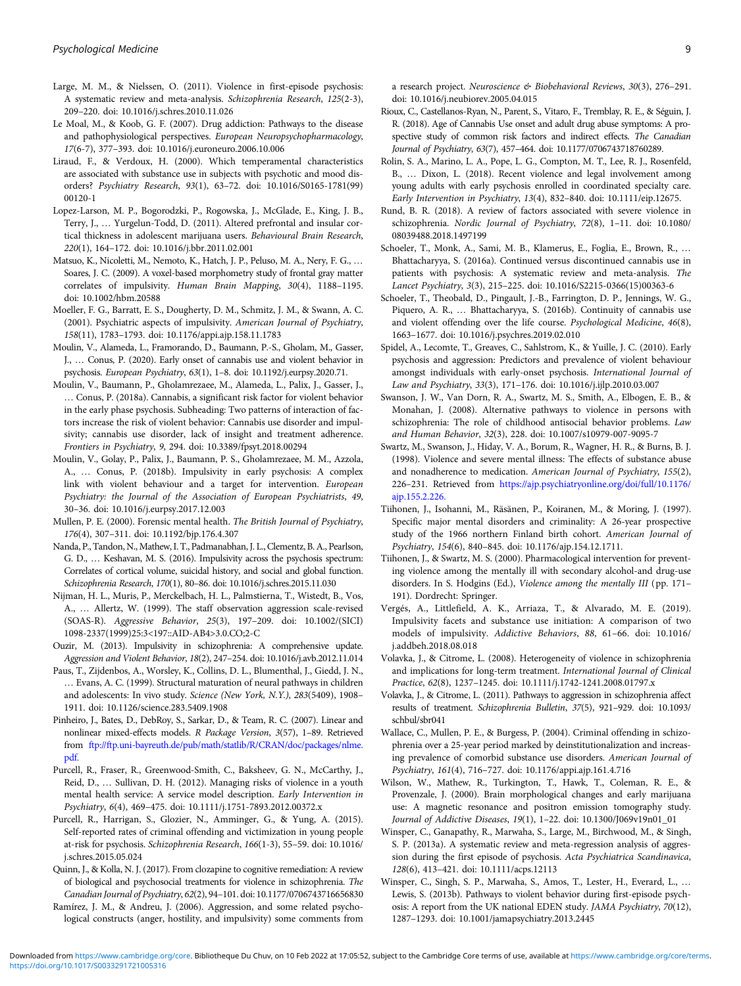- <span id="page-8-0"></span>Large, M. M., & Nielssen, O. (2011). Violence in first-episode psychosis: A systematic review and meta-analysis. Schizophrenia Research, 125(2-3), 209–220. doi: 10.1016/j.schres.2010.11.026
- Le Moal, M., & Koob, G. F. (2007). Drug addiction: Pathways to the disease and pathophysiological perspectives. European Neuropsychopharmacology, 17(6-7), 377–393. doi: 10.1016/j.euroneuro.2006.10.006
- Liraud, F., & Verdoux, H. (2000). Which temperamental characteristics are associated with substance use in subjects with psychotic and mood disorders? Psychiatry Research, 93(1), 63–72. doi: 10.1016/S0165-1781(99) 00120-1
- Lopez-Larson, M. P., Bogorodzki, P., Rogowska, J., McGlade, E., King, J. B., Terry, J., … Yurgelun-Todd, D. (2011). Altered prefrontal and insular cortical thickness in adolescent marijuana users. Behavioural Brain Research, 220(1), 164–172. doi: 10.1016/j.bbr.2011.02.001
- Matsuo, K., Nicoletti, M., Nemoto, K., Hatch, J. P., Peluso, M. A., Nery, F. G., … Soares, J. C. (2009). A voxel-based morphometry study of frontal gray matter correlates of impulsivity. Human Brain Mapping, 30(4), 1188–1195. doi: 10.1002/hbm.20588
- Moeller, F. G., Barratt, E. S., Dougherty, D. M., Schmitz, J. M., & Swann, A. C. (2001). Psychiatric aspects of impulsivity. American Journal of Psychiatry, 158(11), 1783–1793. doi: 10.1176/appi.ajp.158.11.1783
- Moulin, V., Alameda, L., Framorando, D., Baumann, P.-S., Gholam, M., Gasser, J., … Conus, P. (2020). Early onset of cannabis use and violent behavior in psychosis. European Psychiatry, 63(1), 1–8. doi: 10.1192/j.eurpsy.2020.71.
- Moulin, V., Baumann, P., Gholamrezaee, M., Alameda, L., Palix, J., Gasser, J., … Conus, P. (2018a). Cannabis, a significant risk factor for violent behavior in the early phase psychosis. Subheading: Two patterns of interaction of factors increase the risk of violent behavior: Cannabis use disorder and impulsivity; cannabis use disorder, lack of insight and treatment adherence. Frontiers in Psychiatry, 9, 294. doi: 10.3389/fpsyt.2018.00294
- Moulin, V., Golay, P., Palix, J., Baumann, P. S., Gholamrezaee, M. M., Azzola, A., … Conus, P. (2018b). Impulsivity in early psychosis: A complex link with violent behaviour and a target for intervention. European Psychiatry: the Journal of the Association of European Psychiatrists, 49, 30–36. doi: 10.1016/j.eurpsy.2017.12.003
- Mullen, P. E. (2000). Forensic mental health. The British Journal of Psychiatry, 176(4), 307–311. doi: 10.1192/bjp.176.4.307
- Nanda, P., Tandon, N., Mathew, I. T., Padmanabhan, J. L., Clementz, B. A., Pearlson, G. D., … Keshavan, M. S. (2016). Impulsivity across the psychosis spectrum: Correlates of cortical volume, suicidal history, and social and global function. Schizophrenia Research, 170(1), 80–86. doi: 10.1016/j.schres.2015.11.030
- Nijman, H. L., Muris, P., Merckelbach, H. L., Palmstierna, T., Wistedt, B., Vos, A., … Allertz, W. (1999). The staff observation aggression scale-revised (SOAS-R). Aggressive Behavior, 25(3), 197–209. doi: 10.1002/(SICI) 1098-2337(1999)25:3<197::AID-AB4>3.0.CO;2-C
- Ouzir, M. (2013). Impulsivity in schizophrenia: A comprehensive update. Aggression and Violent Behavior, 18(2), 247–254. doi: 10.1016/j.avb.2012.11.014
- Paus, T., Zijdenbos, A., Worsley, K., Collins, D. L., Blumenthal, J., Giedd, J. N., … Evans, A. C. (1999). Structural maturation of neural pathways in children and adolescents: In vivo study. Science (New York, N.Y.), 283(5409), 1908– 1911. doi: 10.1126/science.283.5409.1908
- Pinheiro, J., Bates, D., DebRoy, S., Sarkar, D., & Team, R. C. (2007). Linear and nonlinear mixed-effects models. R Package Version, 3(57), 1–89. Retrieved from [ftp://ftp.uni-bayreuth.de/pub/math/statlib/R/CRAN/doc/packages/nlme.](ftp://ftp.uni-bayreuth.de/pub/math/statlib/R/CRAN/doc/packages/nlme.pdf.) [pdf.](ftp://ftp.uni-bayreuth.de/pub/math/statlib/R/CRAN/doc/packages/nlme.pdf.)
- Purcell, R., Fraser, R., Greenwood-Smith, C., Baksheev, G. N., McCarthy, J., Reid, D., … Sullivan, D. H. (2012). Managing risks of violence in a youth mental health service: A service model description. Early Intervention in Psychiatry, 6(4), 469–475. doi: 10.1111/j.1751-7893.2012.00372.x
- Purcell, R., Harrigan, S., Glozier, N., Amminger, G., & Yung, A. (2015). Self-reported rates of criminal offending and victimization in young people at-risk for psychosis. Schizophrenia Research, 166(1-3), 55–59. doi: 10.1016/ j.schres.2015.05.024
- Quinn, J., & Kolla, N. J. (2017). From clozapine to cognitive remediation: A review of biological and psychosocial treatments for violence in schizophrenia. The Canadian Journal of Psychiatry, 62(2), 94–101. doi: 10.1177/0706743716656830
- Ramírez, J. M., & Andreu, J. (2006). Aggression, and some related psychological constructs (anger, hostility, and impulsivity) some comments from

a research project. Neuroscience & Biobehavioral Reviews, 30(3), 276–291. doi: 10.1016/j.neubiorev.2005.04.015

- Rioux, C., Castellanos-Ryan, N., Parent, S., Vitaro, F., Tremblay, R. E., & Séguin, J. R. (2018). Age of Cannabis Use onset and adult drug abuse symptoms: A prospective study of common risk factors and indirect effects. The Canadian Journal of Psychiatry, 63(7), 457–464. doi: 10.1177/0706743718760289.
- Rolin, S. A., Marino, L. A., Pope, L. G., Compton, M. T., Lee, R. J., Rosenfeld, B., … Dixon, L. (2018). Recent violence and legal involvement among young adults with early psychosis enrolled in coordinated specialty care. Early Intervention in Psychiatry, 13(4), 832–840. doi: 10.1111/eip.12675.
- Rund, B. R. (2018). A review of factors associated with severe violence in schizophrenia. Nordic Journal of Psychiatry, 72(8), 1–11. doi: 10.1080/ 08039488.2018.1497199
- Schoeler, T., Monk, A., Sami, M. B., Klamerus, E., Foglia, E., Brown, R., … Bhattacharyya, S. (2016a). Continued versus discontinued cannabis use in patients with psychosis: A systematic review and meta-analysis. The Lancet Psychiatry, 3(3), 215–225. doi: 10.1016/S2215-0366(15)00363-6
- Schoeler, T., Theobald, D., Pingault, J.-B., Farrington, D. P., Jennings, W. G., Piquero, A. R., … Bhattacharyya, S. (2016b). Continuity of cannabis use and violent offending over the life course. Psychological Medicine, 46(8), 1663–1677. doi: 10.1016/j.psychres.2019.02.010
- Spidel, A., Lecomte, T., Greaves, C., Sahlstrom, K., & Yuille, J. C. (2010). Early psychosis and aggression: Predictors and prevalence of violent behaviour amongst individuals with early-onset psychosis. International Journal of Law and Psychiatry, 33(3), 171–176. doi: 10.1016/j.ijlp.2010.03.007
- Swanson, J. W., Van Dorn, R. A., Swartz, M. S., Smith, A., Elbogen, E. B., & Monahan, J. (2008). Alternative pathways to violence in persons with schizophrenia: The role of childhood antisocial behavior problems. Law and Human Behavior, 32(3), 228. doi: 10.1007/s10979-007-9095-7
- Swartz, M., Swanson, J., Hiday, V. A., Borum, R., Wagner, H. R., & Burns, B. J. (1998). Violence and severe mental illness: The effects of substance abuse and nonadherence to medication. American Journal of Psychiatry, 155(2), 226–231. Retrieved from [https://ajp.psychiatryonline.org/doi/full/10.1176/](https://ajp.psychiatryonline.org/doi/full/10.1176/ajp.155.2.226.) [ajp.155.2.226.](https://ajp.psychiatryonline.org/doi/full/10.1176/ajp.155.2.226.)
- Tiihonen, J., Isohanni, M., Räsänen, P., Koiranen, M., & Moring, J. (1997). Specific major mental disorders and criminality: A 26-year prospective study of the 1966 northern Finland birth cohort. American Journal of Psychiatry, 154(6), 840–845. doi: 10.1176/ajp.154.12.1711.
- Tiihonen, J., & Swartz, M. S. (2000). Pharmacological intervention for preventing violence among the mentally ill with secondary alcohol-and drug-use disorders. In S. Hodgins (Ed.), Violence among the mentally III (pp. 171– 191). Dordrecht: Springer.
- Vergés, A., Littlefield, A. K., Arriaza, T., & Alvarado, M. E. (2019). Impulsivity facets and substance use initiation: A comparison of two models of impulsivity. Addictive Behaviors, 88, 61–66. doi: 10.1016/ j.addbeh.2018.08.018
- Volavka, J., & Citrome, L. (2008). Heterogeneity of violence in schizophrenia and implications for long-term treatment. International Journal of Clinical Practice, 62(8), 1237–1245. doi: 10.1111/j.1742-1241.2008.01797.x
- Volavka, J., & Citrome, L. (2011). Pathways to aggression in schizophrenia affect results of treatment. Schizophrenia Bulletin, 37(5), 921–929. doi: 10.1093/ schbul/sbr041
- Wallace, C., Mullen, P. E., & Burgess, P. (2004). Criminal offending in schizophrenia over a 25-year period marked by deinstitutionalization and increasing prevalence of comorbid substance use disorders. American Journal of Psychiatry, 161(4), 716–727. doi: 10.1176/appi.ajp.161.4.716
- Wilson, W., Mathew, R., Turkington, T., Hawk, T., Coleman, R. E., & Provenzale, J. (2000). Brain morphological changes and early marijuana use: A magnetic resonance and positron emission tomography study. Journal of Addictive Diseases, 19(1), 1–22. doi: 10.1300/J069v19n01\_01
- Winsper, C., Ganapathy, R., Marwaha, S., Large, M., Birchwood, M., & Singh, S. P. (2013a). A systematic review and meta-regression analysis of aggression during the first episode of psychosis. Acta Psychiatrica Scandinavica, 128(6), 413–421. doi: 10.1111/acps.12113
- Winsper, C., Singh, S. P., Marwaha, S., Amos, T., Lester, H., Everard, L., … Lewis, S. (2013b). Pathways to violent behavior during first-episode psychosis: A report from the UK national EDEN study. JAMA Psychiatry, 70(12), 1287–1293. doi: 10.1001/jamapsychiatry.2013.2445